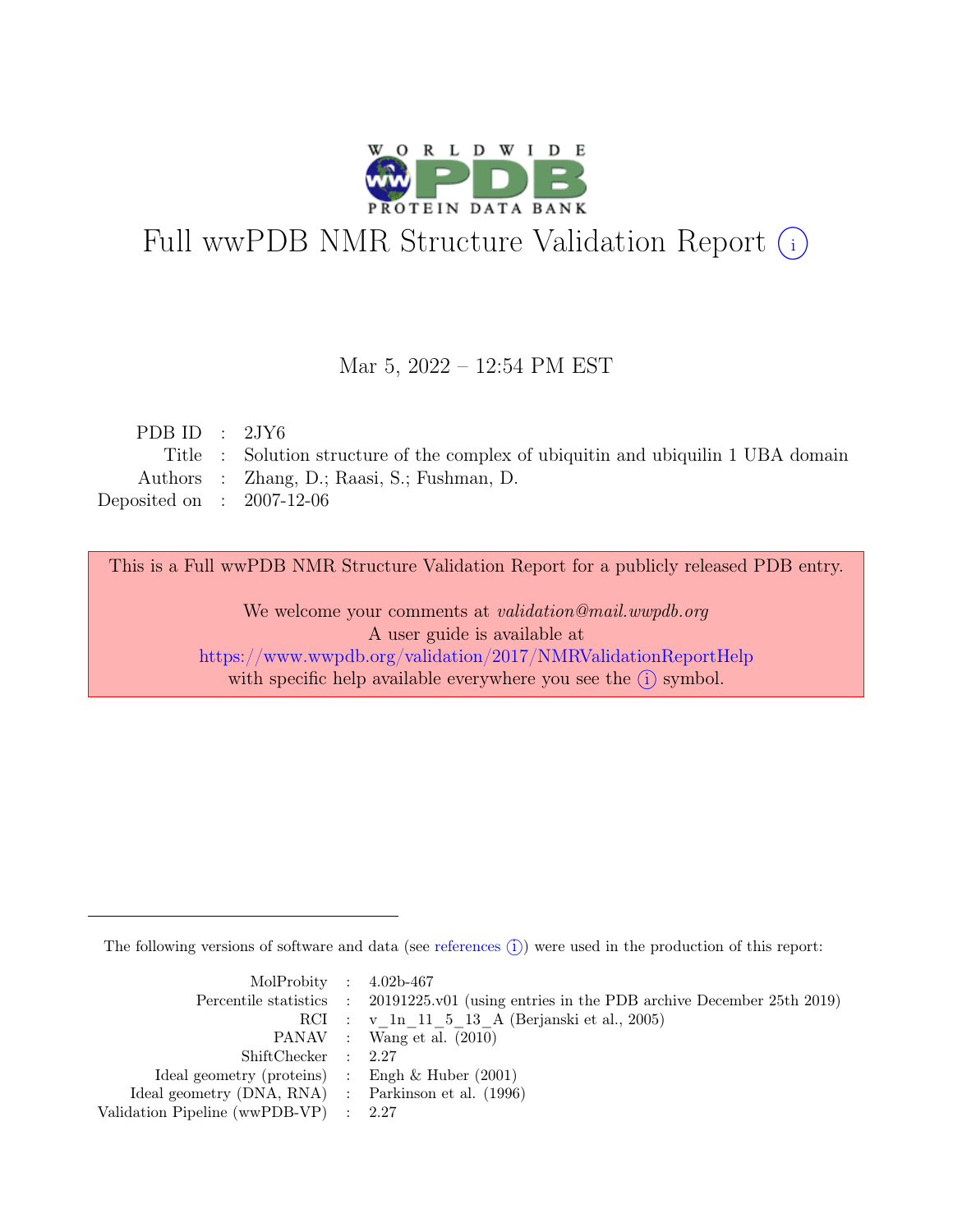

# Full wwPDB NMR Structure Validation Report (i)

#### Mar 5, 2022 – 12:54 PM EST

| PDB ID : $2JY6$             |                                                                                   |
|-----------------------------|-----------------------------------------------------------------------------------|
|                             | Title : Solution structure of the complex of ubiquitin and ubiquilin 1 UBA domain |
|                             | Authors : Zhang, D.; Raasi, S.; Fushman, D.                                       |
| Deposited on : $2007-12-06$ |                                                                                   |
|                             |                                                                                   |

This is a Full wwPDB NMR Structure Validation Report for a publicly released PDB entry.

We welcome your comments at *validation@mail.wwpdb.org* A user guide is available at <https://www.wwpdb.org/validation/2017/NMRValidationReportHelp> with specific help available everywhere you see the  $(i)$  symbol.

The following versions of software and data (see [references](https://www.wwpdb.org/validation/2017/NMRValidationReportHelp#references)  $\hat{I}$ ) were used in the production of this report:

| MolProbity : $4.02b-467$                            |                                                                                            |
|-----------------------------------------------------|--------------------------------------------------------------------------------------------|
|                                                     | Percentile statistics : 20191225.v01 (using entries in the PDB archive December 25th 2019) |
|                                                     | RCI : v 1n 11 5 13 A (Berjanski et al., 2005)                                              |
|                                                     | PANAV : Wang et al. (2010)                                                                 |
| ShiftChecker : 2.27                                 |                                                                                            |
| Ideal geometry (proteins) : Engh $\&$ Huber (2001)  |                                                                                            |
| Ideal geometry (DNA, RNA) : Parkinson et al. (1996) |                                                                                            |
| Validation Pipeline (wwPDB-VP) : $2.27$             |                                                                                            |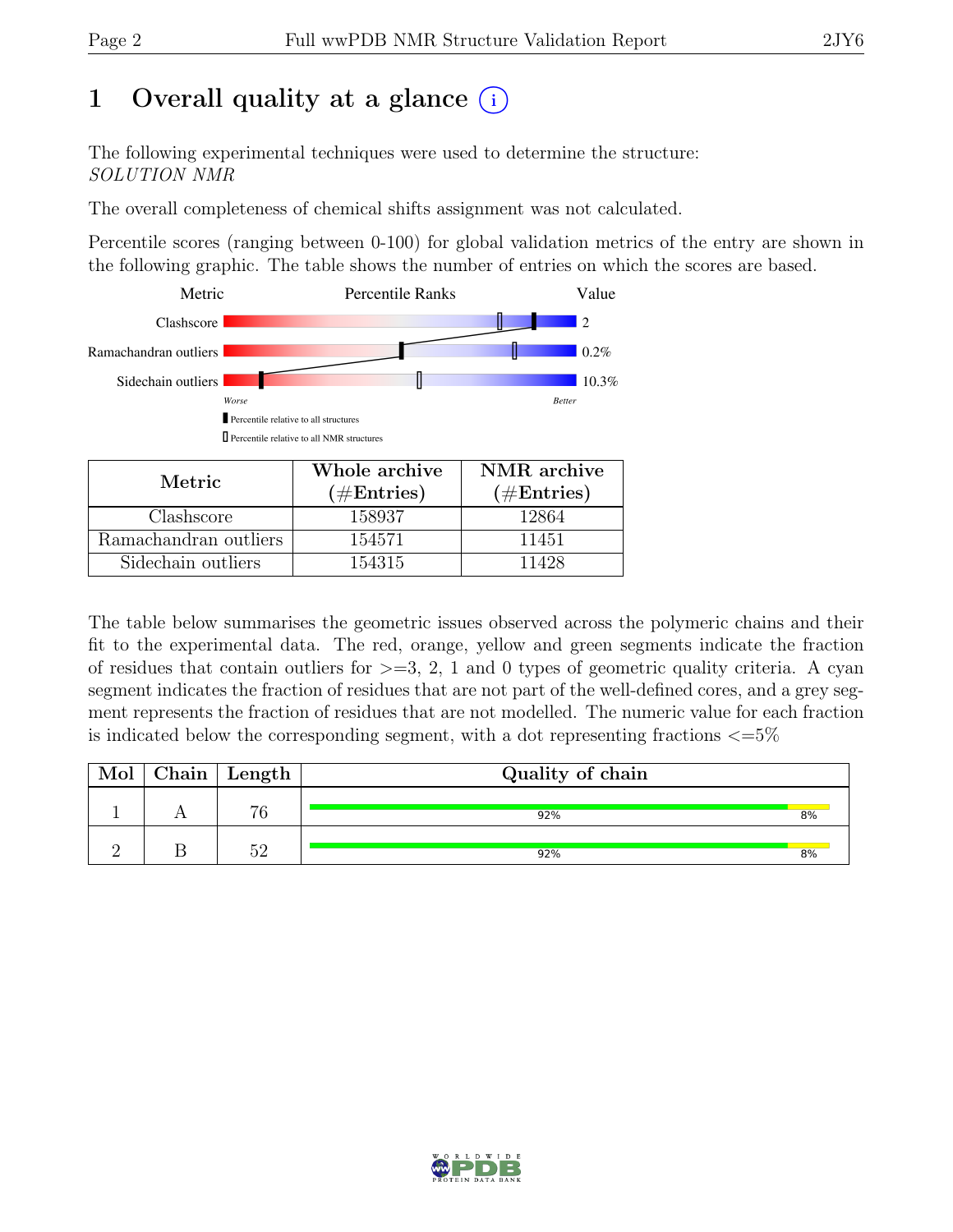## 1 Overall quality at a glance  $(i)$

The following experimental techniques were used to determine the structure: SOLUTION NMR

The overall completeness of chemical shifts assignment was not calculated.

Percentile scores (ranging between 0-100) for global validation metrics of the entry are shown in the following graphic. The table shows the number of entries on which the scores are based.



| Metric.               | Whole archive<br>$(\#Entries)$ | NMR archive<br>$(\#Entries)$ |
|-----------------------|--------------------------------|------------------------------|
| Clashscore            | 158937                         | 12864                        |
| Ramachandran outliers | 154571                         | 11451                        |
| Sidechain outliers    | 154315                         | 11428                        |

The table below summarises the geometric issues observed across the polymeric chains and their fit to the experimental data. The red, orange, yellow and green segments indicate the fraction of residues that contain outliers for  $>=$  3, 2, 1 and 0 types of geometric quality criteria. A cyan segment indicates the fraction of residues that are not part of the well-defined cores, and a grey segment represents the fraction of residues that are not modelled. The numeric value for each fraction is indicated below the corresponding segment, with a dot representing fractions  $\langle=5\%$ 

| Mol | $\mid$ Chain $\mid$ Length | Quality of chain |    |
|-----|----------------------------|------------------|----|
|     | 76                         | 92%              | 8% |
|     |                            | 92%              | 8% |

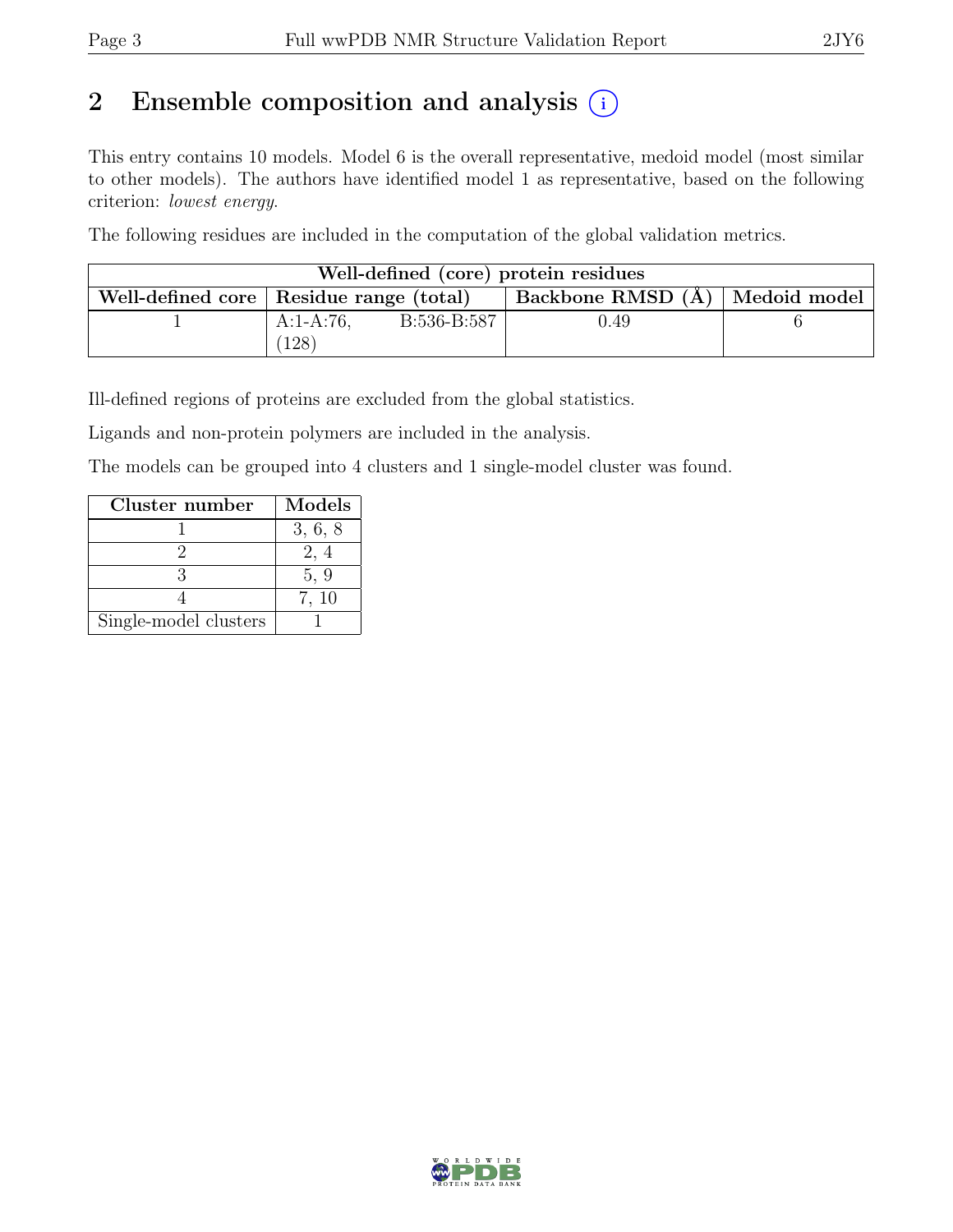## 2 Ensemble composition and analysis  $(i)$

This entry contains 10 models. Model 6 is the overall representative, medoid model (most similar to other models). The authors have identified model 1 as representative, based on the following criterion: lowest energy.

The following residues are included in the computation of the global validation metrics.

| Well-defined (core) protein residues      |              |             |                                  |  |  |  |  |
|-------------------------------------------|--------------|-------------|----------------------------------|--|--|--|--|
| Well-defined core   Residue range (total) |              |             | Backbone RMSD (A)   Medoid model |  |  |  |  |
|                                           | $A:1-A:76$ , | B:536-B:587 | 0.49                             |  |  |  |  |
|                                           | 128          |             |                                  |  |  |  |  |

Ill-defined regions of proteins are excluded from the global statistics.

Ligands and non-protein polymers are included in the analysis.

The models can be grouped into 4 clusters and 1 single-model cluster was found.

| Cluster number        | Models  |
|-----------------------|---------|
|                       | 3, 6, 8 |
|                       | 2, 4    |
|                       | 5, 9    |
|                       | 7, 10   |
| Single-model clusters |         |

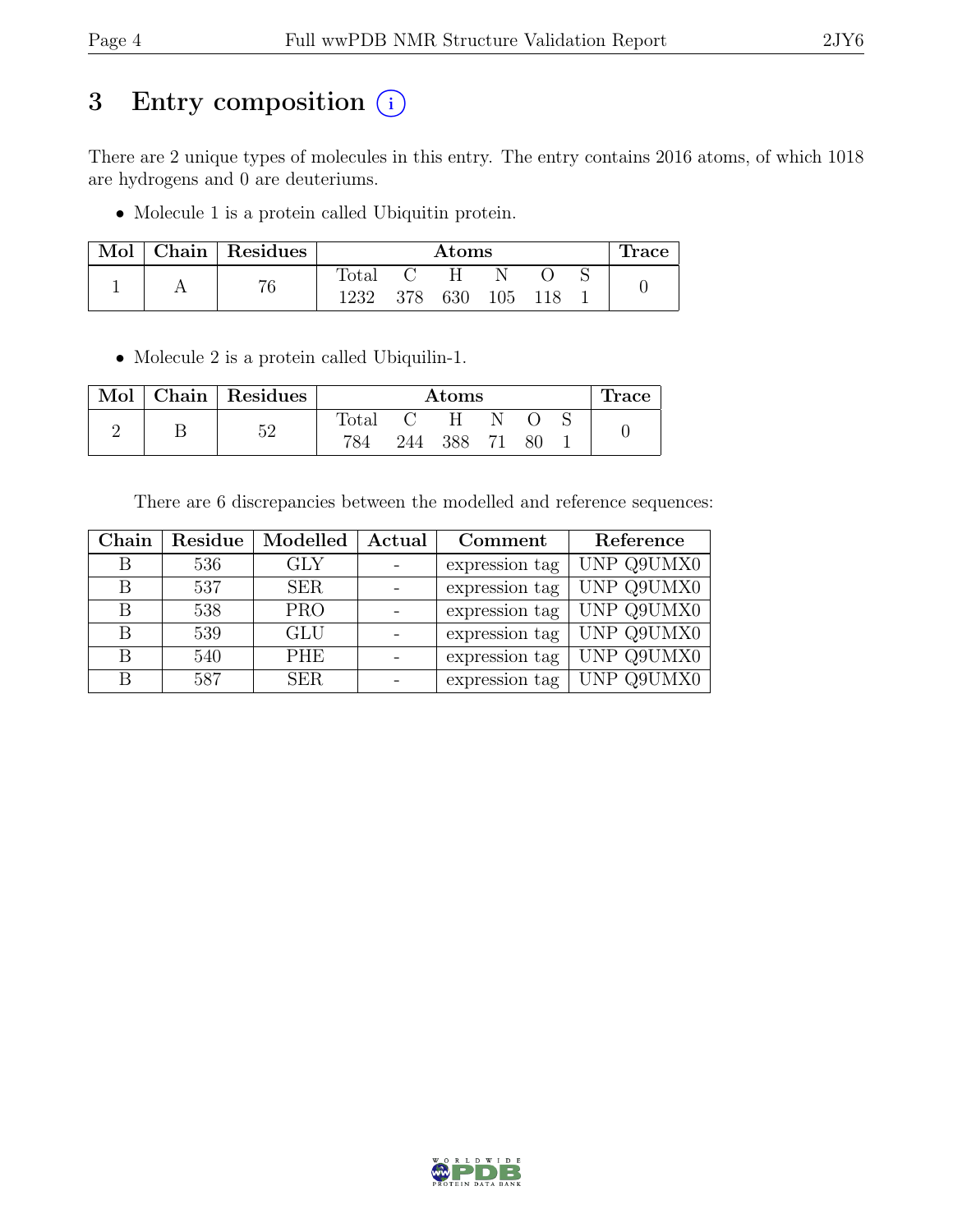## 3 Entry composition (i)

There are 2 unique types of molecules in this entry. The entry contains 2016 atoms, of which 1018 are hydrogens and 0 are deuteriums.

• Molecule 1 is a protein called Ubiquitin protein.

| Mol | Chain   Residues |       | $\rm{Atoms}$ |     |     |     | ⊥race |  |
|-----|------------------|-------|--------------|-----|-----|-----|-------|--|
|     | 76               | Total |              |     |     |     |       |  |
|     |                  | 1232  | 378          | 630 | 105 | 118 |       |  |

• Molecule 2 is a protein called Ubiquilin-1.

|  | Mol   Chain   Residues |                | $\rm{Atoms}$ |     |    |    | '.race |  |
|--|------------------------|----------------|--------------|-----|----|----|--------|--|
|  | ≍ດ                     | $_{\rm Total}$ |              | H   |    |    |        |  |
|  |                        | 784            | 244          | 388 | 71 | 80 |        |  |

There are 6 discrepancies between the modelled and reference sequences:

| Chain | Residue | Modelled   | Actual | Comment        | Reference  |
|-------|---------|------------|--------|----------------|------------|
| В     | 536     | GLY        |        | expression tag | UNP Q9UMX0 |
| В     | 537     | <b>SER</b> |        | expression tag | UNP Q9UMX0 |
|       | 538     | <b>PRO</b> |        | expression tag | UNP Q9UMX0 |
| В     | 539     | <b>GLU</b> |        | expression tag | UNP Q9UMX0 |
| В     | 540     | <b>PHE</b> |        | expression tag | UNP Q9UMX0 |
| R     | 587     | SER        |        | expression tag | UNP Q9UMX0 |

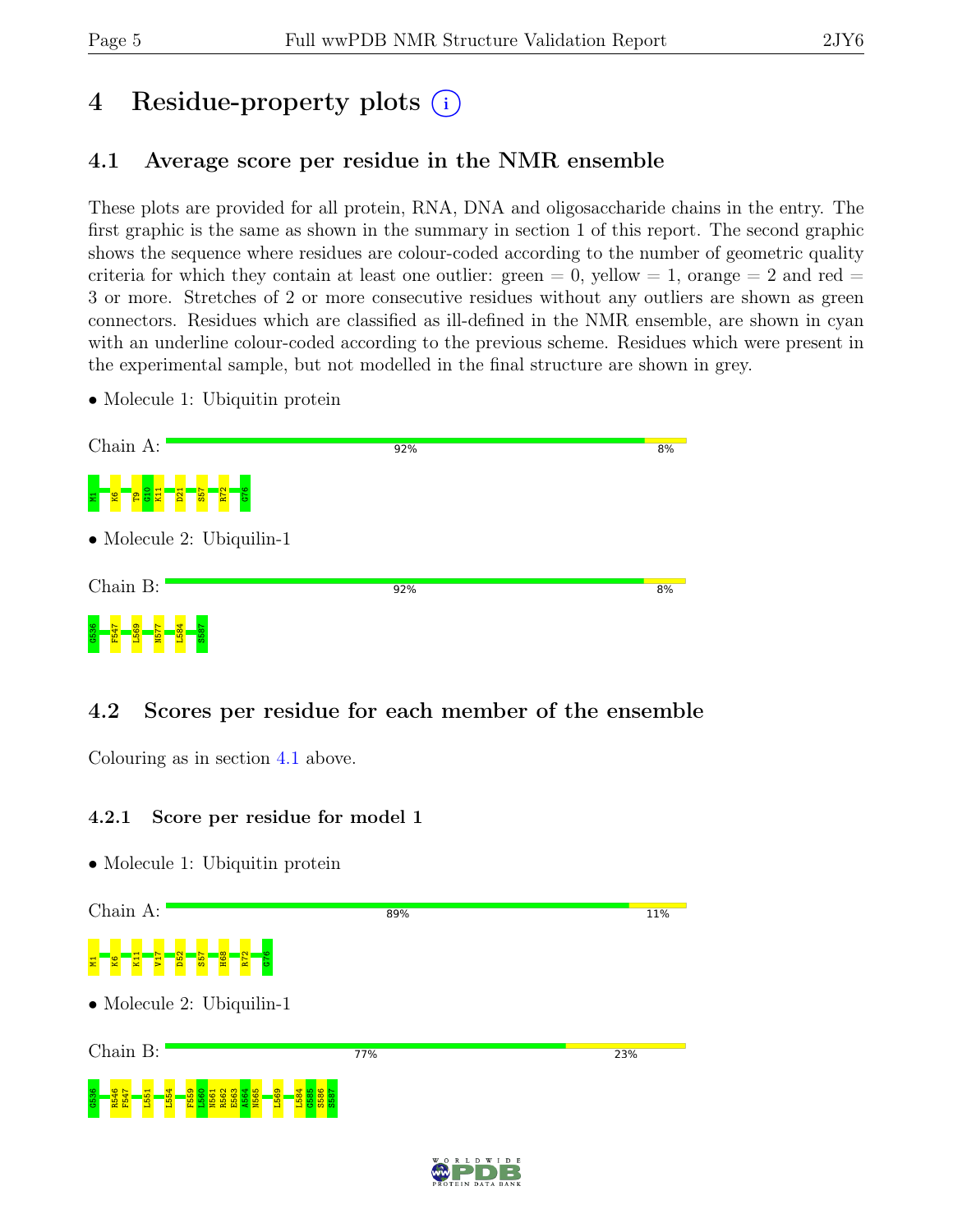# 4 Residue-property plots (i)

## <span id="page-4-0"></span>4.1 Average score per residue in the NMR ensemble

These plots are provided for all protein, RNA, DNA and oligosaccharide chains in the entry. The first graphic is the same as shown in the summary in section 1 of this report. The second graphic shows the sequence where residues are colour-coded according to the number of geometric quality criteria for which they contain at least one outlier: green  $= 0$ , yellow  $= 1$ , orange  $= 2$  and red  $=$ 3 or more. Stretches of 2 or more consecutive residues without any outliers are shown as green connectors. Residues which are classified as ill-defined in the NMR ensemble, are shown in cyan with an underline colour-coded according to the previous scheme. Residues which were present in the experimental sample, but not modelled in the final structure are shown in grey.

• Molecule 1: Ubiquitin protein

| Chain A:                                                                                                                | 92% | 8% |
|-------------------------------------------------------------------------------------------------------------------------|-----|----|
| G <sub>10</sub><br>K11<br>$\frac{1}{21}$<br>R <sub>72</sub><br>$\frac{19}{55}$<br><b>P<sub>1</sub></b><br><b>S</b><br>5 |     |    |
| $\bullet$ Molecule 2: Ubiquilin-1                                                                                       |     |    |
| Chain B:                                                                                                                | 92% | 8% |
| ത<br>$\frac{6}{5}$<br>$\overline{\mathbf{g}}$<br>$\infty$<br><b>ZSM</b><br>ω<br>. .<br>m                                |     |    |

## 4.2 Scores per residue for each member of the ensemble

Colouring as in section [4.1](#page-4-0) above.

#### 4.2.1 Score per residue for model 1



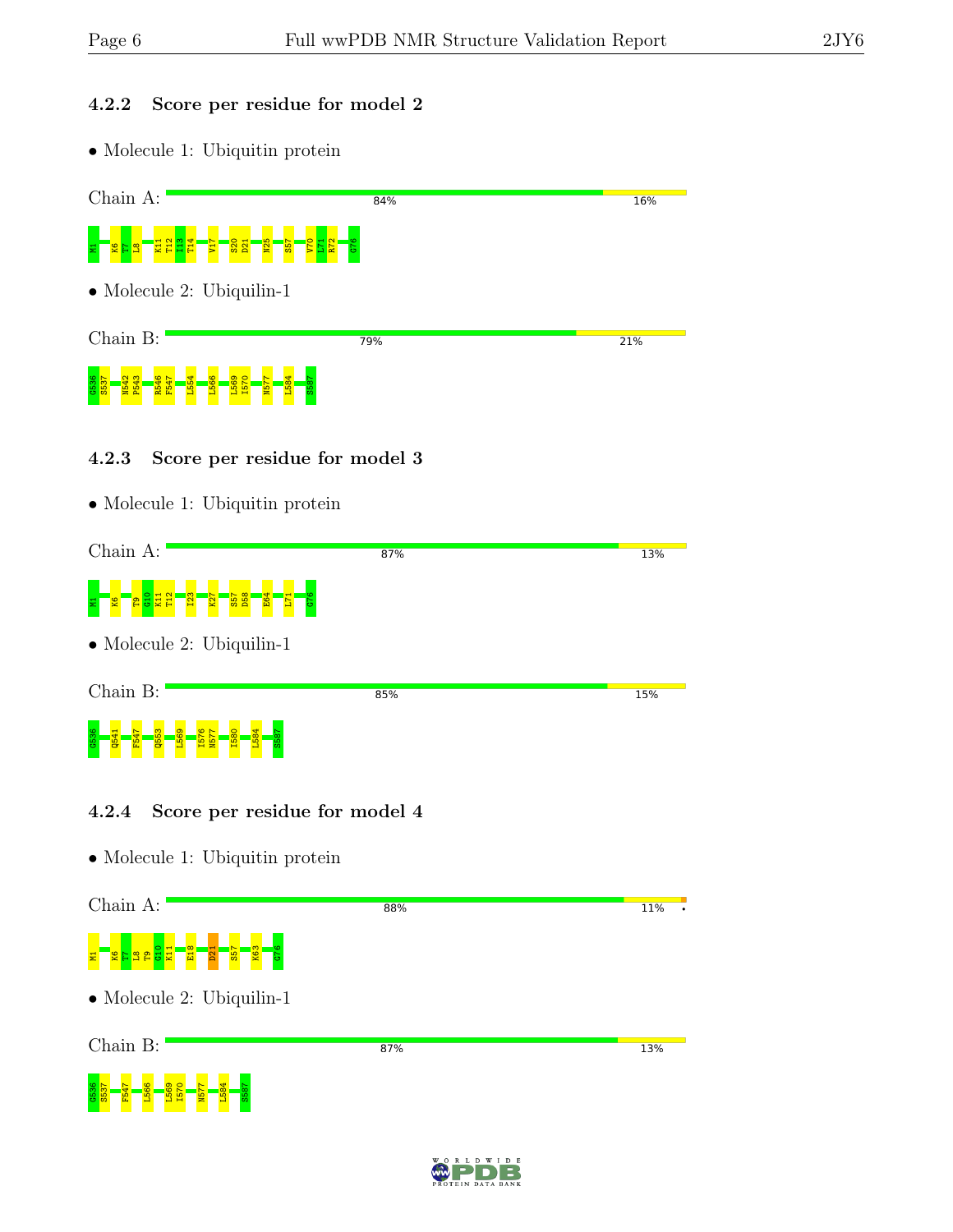### 4.2.2 Score per residue for model 2

| Chain A:    | 84%                                          | 16% |
|-------------|----------------------------------------------|-----|
|             |                                              |     |
|             | $\bullet$ Molecule 2: Ubiquilin-1            |     |
| Chain B:    | 79%                                          | 21% |
|             |                                              |     |
| 4.2.3       | Score per residue for model 3                |     |
|             | • Molecule 1: Ubiquitin protein              |     |
| Chain A:    | 87%                                          | 13% |
|             |                                              |     |
|             | $\bullet$ Molecule 2: Ubiquilin-1            |     |
| Chain B:    | 85%                                          | 15% |
|             |                                              |     |
| 4.2.4       | Score per residue for model 4                |     |
|             | • Molecule 1: Ubiquitin protein              |     |
| Chain $A$ : | 88%                                          | 11% |
|             | <b>GIJ</b><br><u>ဇ္ဇ ၉</u><br>퓹<br><u>99</u> |     |
|             | $\bullet$ Molecule 2: Ubiquilin-1            |     |
| Chain B:    | 87%                                          | 13% |



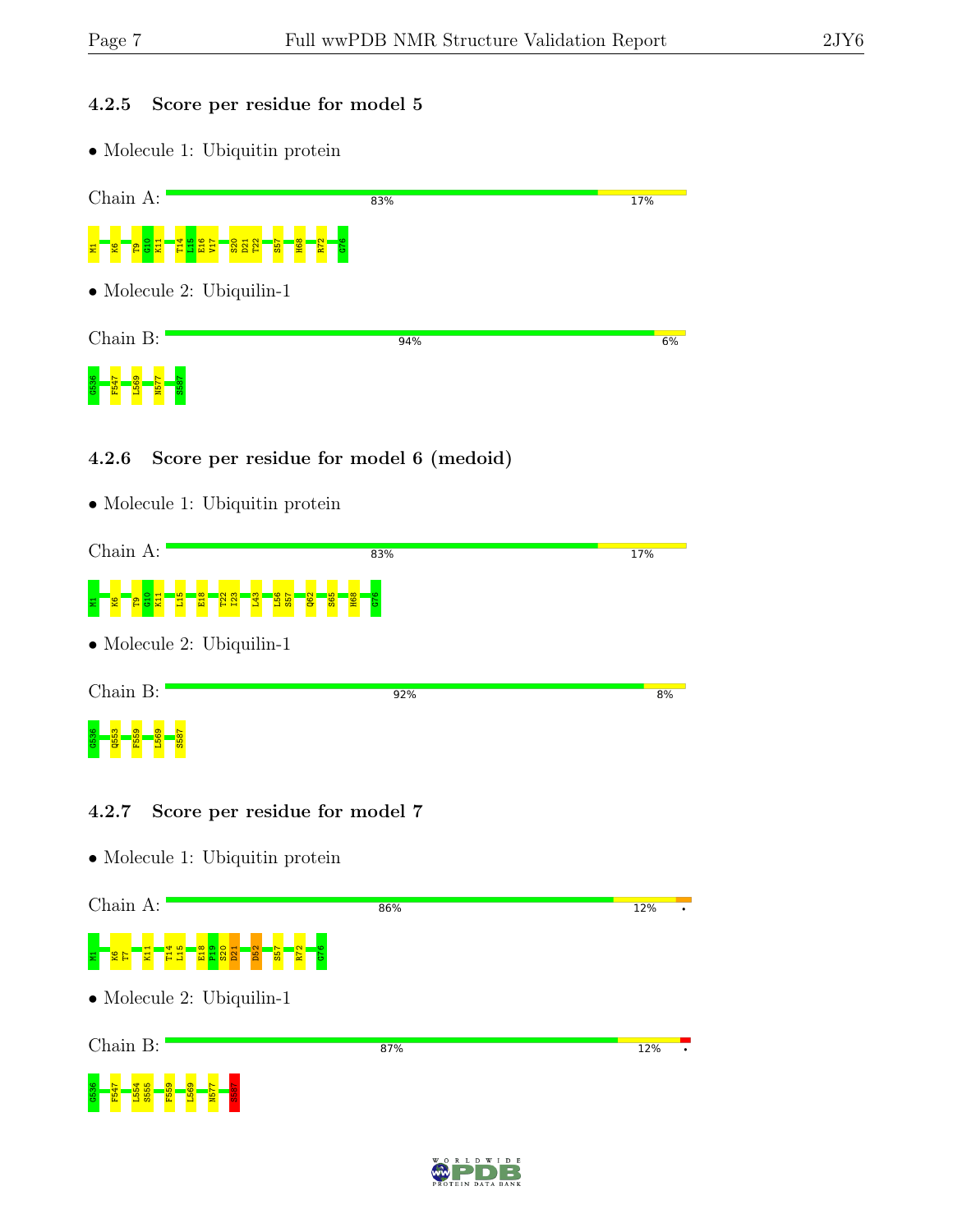### 4.2.5 Score per residue for model 5

• Molecule 1: Ubiquitin protein

| Chain A:                                                                                                                                                   | 83% | 17% |
|------------------------------------------------------------------------------------------------------------------------------------------------------------|-----|-----|
| <mark>결품음절</mark><br><mark>ន្ត្រី ន</mark> ្ត្រី<br><b>H68</b><br><mark>ិងនិដ្ឋ</mark><br>G76<br>$\frac{1}{2}$<br>$\overline{\mathbf{z}}$<br><b>S</b><br>륳 |     |     |
| $\bullet$ Molecule 2: Ubiquilin-1                                                                                                                          |     |     |
| Chain B:                                                                                                                                                   | 94% | 6%  |
| L569<br><b>S58</b><br><b>ZSM</b>                                                                                                                           |     |     |

#### 4.2.6 Score per residue for model 6 (medoid)

| Chain A:                                         | 83%                           | 17% |
|--------------------------------------------------|-------------------------------|-----|
|                                                  |                               |     |
| $\bullet$ Molecule 2: Ubiquilin-1                |                               |     |
| Chain B:                                         | 92%                           | 8%  |
|                                                  |                               |     |
| 4.2.7<br>$\bullet$ Molecule 1: Ubiquitin protein | Score per residue for model 7 |     |
| Chain A:                                         | 86%                           | 12% |
|                                                  |                               |     |
| $\bullet$ Molecule 2: Ubiquilin-1                |                               |     |
| Chain B:                                         | 87%                           | 12% |
|                                                  |                               |     |

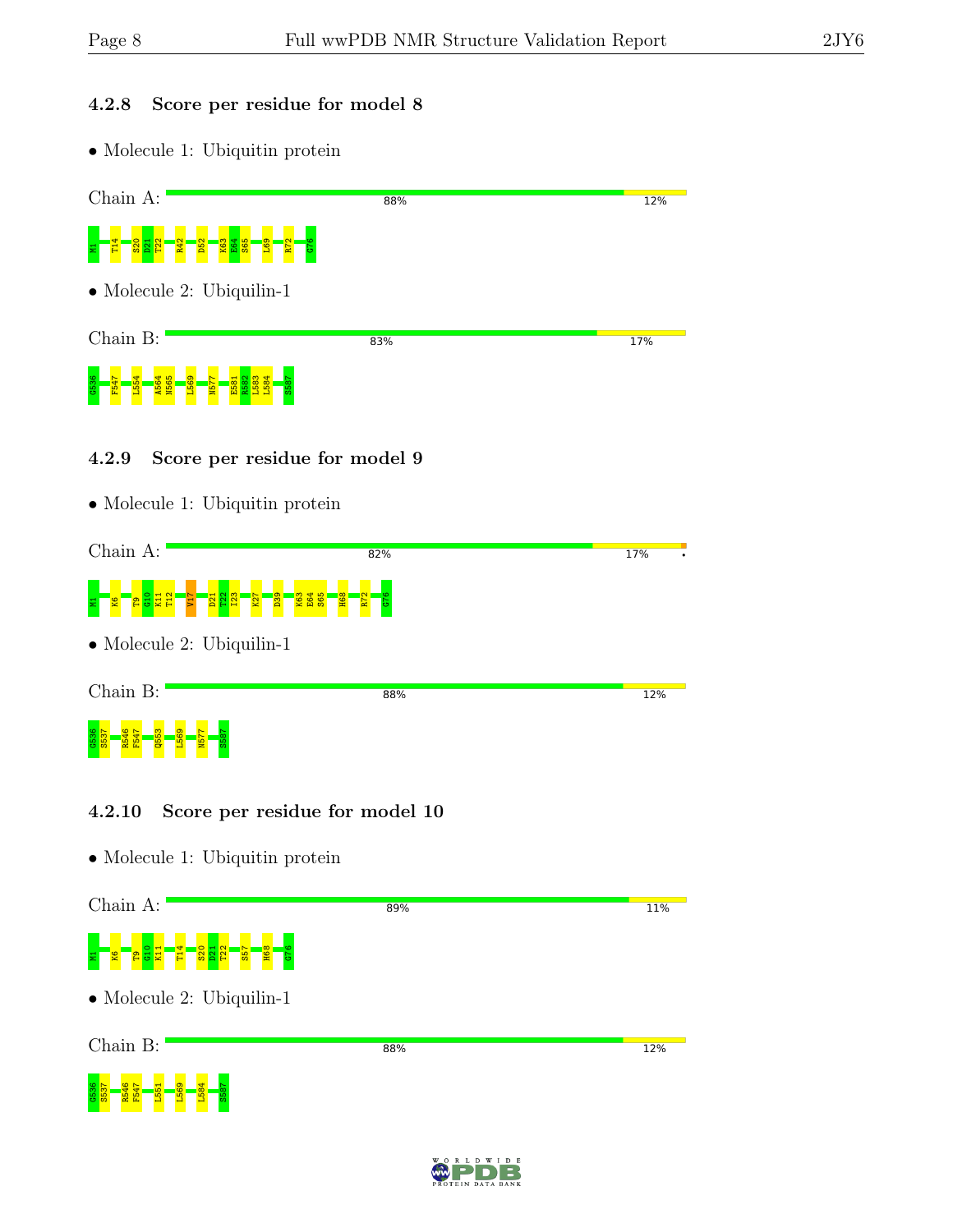G537<br>S537

L569 L584 S587

### 4.2.8 Score per residue for model 8

| Chain A:                                 | 88% | 12% |
|------------------------------------------|-----|-----|
|                                          |     |     |
| $\bullet$ Molecule 2: Ubiquilin-1        |     |     |
| Chain B:                                 | 83% | 17% |
|                                          |     |     |
| Score per residue for model 9<br>4.2.9   |     |     |
| $\bullet$ Molecule 1: Ubiquitin protein  |     |     |
| Chain A:<br>82%                          |     | 17% |
|                                          |     |     |
| $\bullet$ Molecule 2: Ubiquilin-1        |     |     |
| Chain B:                                 | 88% | 12% |
|                                          |     |     |
| 4.2.10<br>Score per residue for model 10 |     |     |
| $\bullet$ Molecule 1: Ubiquitin protein  |     |     |
| Chain A:                                 | 89% | 11% |
|                                          |     |     |
| $\bullet$ Molecule 2: Ubiquilin-1        |     |     |
| Chain B:                                 | 88% | 12% |

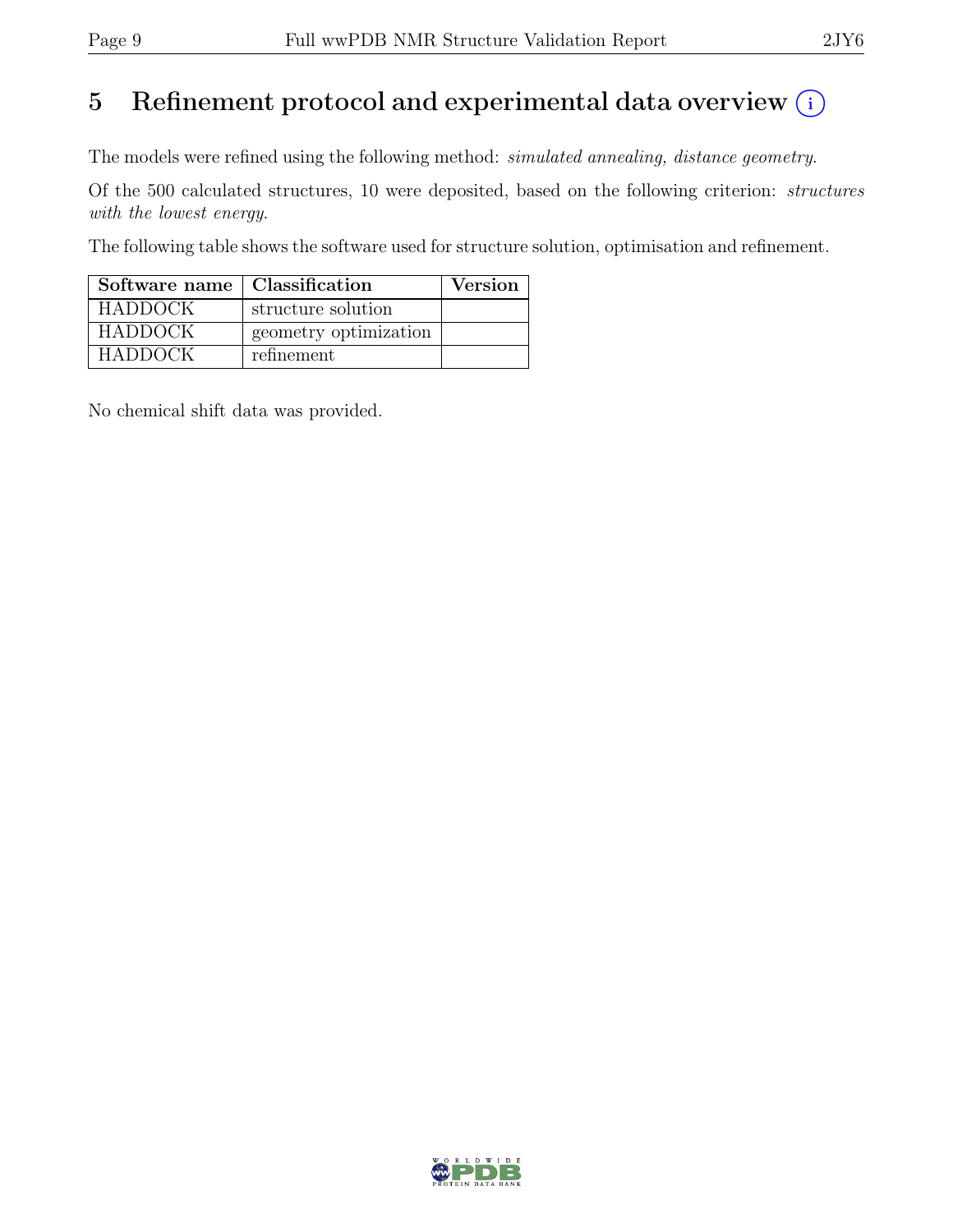## 5 Refinement protocol and experimental data overview  $(i)$

The models were refined using the following method: simulated annealing, distance geometry.

Of the 500 calculated structures, 10 were deposited, based on the following criterion: structures with the lowest energy.

The following table shows the software used for structure solution, optimisation and refinement.

| Software name   Classification |                       | <b>Version</b> |
|--------------------------------|-----------------------|----------------|
| <b>HADDOCK</b>                 | structure solution    |                |
| <b>HADDOCK</b>                 | geometry optimization |                |
| <b>HADDOCK</b>                 | refinement            |                |

No chemical shift data was provided.

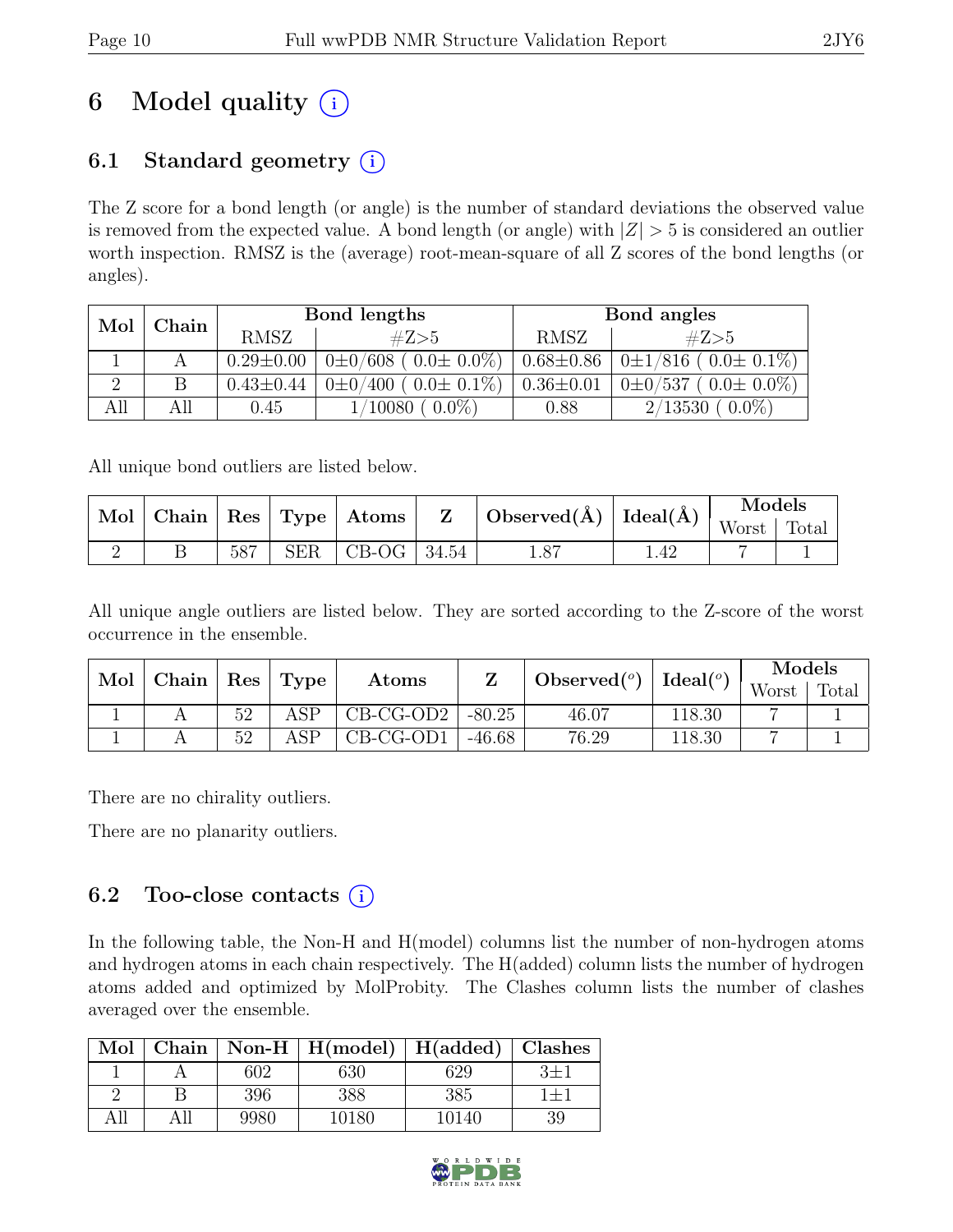# 6 Model quality  $(i)$

## 6.1 Standard geometry  $(i)$

The Z score for a bond length (or angle) is the number of standard deviations the observed value is removed from the expected value. A bond length (or angle) with  $|Z| > 5$  is considered an outlier worth inspection. RMSZ is the (average) root-mean-square of all Z scores of the bond lengths (or angles).

| Mol<br>Chain |     |                 | Bond lengths                    | Bond angles     |                                 |  |
|--------------|-----|-----------------|---------------------------------|-----------------|---------------------------------|--|
|              |     | <b>RMSZ</b>     | #Z>5                            | RMSZ            | #Z>5                            |  |
|              |     | $0.29 \pm 0.00$ | $0\pm0/608$ ( $0.0\pm0.0\%$ )   | $0.68{\pm}0.86$ | $0\pm1/816$ ( $0.0\pm0.1\%$ )   |  |
|              | В   | $0.43 \pm 0.44$ | $0\pm 0/400$ ( $0.0\pm 0.1\%$ ) | $0.36 \pm 0.01$ | $0\pm 0/537$ ( $0.0\pm 0.0\%$ ) |  |
|              | All | 0.45            | $0.0\%$<br>10080                | 0.88            | $0.0\%$ )<br>2/13530            |  |

All unique bond outliers are listed below.

|  | $\mid$ Mol $\mid$ Chain $\mid$ Res $\mid$ Type $\mid$ Atoms $\mid$ |     | $\mid$ Observed(Å) $\mid$ Ideal(Å) |  | Models |               |  |
|--|--------------------------------------------------------------------|-----|------------------------------------|--|--------|---------------|--|
|  |                                                                    |     |                                    |  |        | Worst   Total |  |
|  | 587                                                                | SER | $\vert$ CB-OG $\vert$ 34.54        |  | 1.87   |               |  |

All unique angle outliers are listed below. They are sorted according to the Z-score of the worst occurrence in the ensemble.

| Mol | Chain | Res |      | Ideal $(^\circ)$<br>$\text{Observed} (^{\text{o}})$ |          | Models |        |       |       |
|-----|-------|-----|------|-----------------------------------------------------|----------|--------|--------|-------|-------|
|     |       |     | Type | $\rm{Atoms}$                                        |          |        |        | Worst | Total |
|     |       | 52  | ASP  | $CB-CG-OD2$                                         | $-80.25$ | 46.07  | 118.30 |       |       |
|     |       | 52  | ASP  | $CB-CG-OD1$                                         | $-46.68$ | 76.29  | 118.30 | -     |       |

There are no chirality outliers.

There are no planarity outliers.

## 6.2 Too-close contacts  $(i)$

In the following table, the Non-H and H(model) columns list the number of non-hydrogen atoms and hydrogen atoms in each chain respectively. The H(added) column lists the number of hydrogen atoms added and optimized by MolProbity. The Clashes column lists the number of clashes averaged over the ensemble.

| Mol | Chain |      | $\mid$ Non-H $\mid$ H(model) $\mid$ H(added) |       | Clashes   |
|-----|-------|------|----------------------------------------------|-------|-----------|
|     |       | 602  | 630                                          | 629   | $3\pm1$   |
|     |       | 396  | 388                                          | 385   | $1 \pm 1$ |
| All |       | 9980 | 10180                                        | 10140 | 39        |

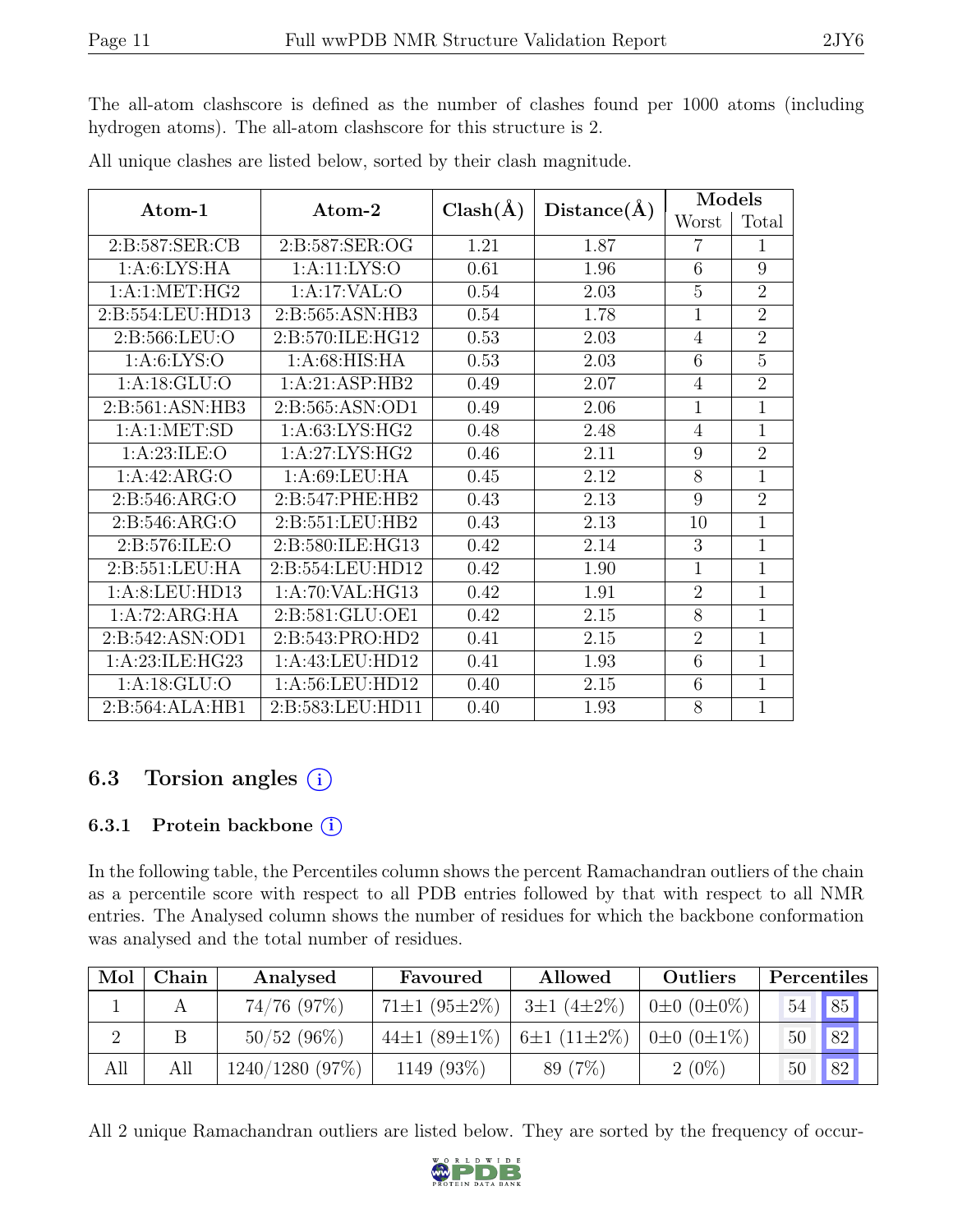The all-atom clashscore is defined as the number of clashes found per 1000 atoms (including hydrogen atoms). The all-atom clashscore for this structure is 2.

| $\rm{Atom}\textrm{-}1$ | $\rm{Atom}\text{-}2$ | $Clash(\AA)$ | Distance(A) | Models         |                |  |
|------------------------|----------------------|--------------|-------------|----------------|----------------|--|
|                        |                      |              |             | Worst          | Total          |  |
| 2:B:587:SER:CB         | 2:B:587:SER:OG       | 1.21         | 1.87        | 7              | 1              |  |
| 1: A:6: LYS: HA        | 1:A:11:LYS:O         | 0.61         | 1.96        | 6              | 9              |  |
| 1:A:1:MET:HG2          | 1:A:17:VAL:          | 0.54         | 2.03        | $\overline{5}$ | $\overline{2}$ |  |
| 2:B:554:LEU:HD13       | 2:B:565:ASN:HB3      | 0.54         | 1.78        | $\mathbf{1}$   | $\overline{2}$ |  |
| 2:B:566:LEU:O          | 2:B:570:ILE:HG12     | 0.53         | 2.03        | $\overline{4}$ | $\overline{2}$ |  |
| 1: A:6: LYS:O          | 1: A:68: HIS: HA     | 0.53         | 2.03        | 6              | 5              |  |
| 1: A:18: GLU:O         | 1:A:21:ASP:HB2       | 0.49         | 2.07        | 4              | $\overline{2}$ |  |
| 2:B:561:ASN:HB3        | 2:B:565:ASN:OD1      | 0.49         | 2.06        | 1              | $\overline{1}$ |  |
| 1: A:1: MET:SD         | 1: A:63: LYS: HG2    | 0.48         | 2.48        | $\overline{4}$ | 1              |  |
| 1: A:23: ILE: O        | 1:A:27:LYS:HG2       | 0.46         | 2.11        | 9              | $\overline{2}$ |  |
| 1:A:42:ARG:O           | 1: A:69:LEU:HA       | 0.45         | 2.12        | 8              | $\overline{1}$ |  |
| 2:B:546:ARG:O          | 2:B:547:PHE:HB2      | 0.43         | 2.13        | 9              | $\overline{2}$ |  |
| 2:B:546:ARG:O          | 2:B:551:LEU:HB2      | 0.43         | 2.13        | 10             | $\overline{1}$ |  |
| 2:B:576:ILE:O          | 2:B:580:ILE:HG13     | 0.42         | 2.14        | 3              | 1              |  |
| 2:B:551:LEU:HA         | 2:B:554:LEU:HD12     | 0.42         | 1.90        | $\mathbf{1}$   | $\overline{1}$ |  |
| 1:A:8:LEU:HD13         | 1: A:70: VAL: HG13   | 0.42         | 1.91        | $\overline{2}$ | 1              |  |
| 1:A:72:ARG:HA          | 2:B:581:GLU:OE1      | 0.42         | 2.15        | 8              | 1              |  |
| 2:B:542:ASN:OD1        | 2:B:543:PRO:HD2      | 0.41         | 2.15        | $\overline{2}$ | 1              |  |
| 1:A:23:ILE:HG23        | 1:A:43:LEU:HD12      | 0.41         | 1.93        | 6              | 1              |  |
| 1: A:18: GLU:O         | 1:A:56:LEU:HD12      | 0.40         | 2.15        | 6              | 1              |  |
| 2:B:564:ALA:HB1        | 2:B:583:LEU:HD11     | 0.40         | 1.93        | 8              | $\overline{1}$ |  |

All unique clashes are listed below, sorted by their clash magnitude.

## 6.3 Torsion angles (i)

#### 6.3.1 Protein backbone (i)

In the following table, the Percentiles column shows the percent Ramachandran outliers of the chain as a percentile score with respect to all PDB entries followed by that with respect to all NMR entries. The Analysed column shows the number of residues for which the backbone conformation was analysed and the total number of residues.

| Mol | Chain | Analysed       | Favoured                  | Allowed                   | <b>Outliers</b>         |    | Percentiles |  |
|-----|-------|----------------|---------------------------|---------------------------|-------------------------|----|-------------|--|
|     |       | $74/76$ (97%)  | $71\pm1(95\pm2\%)$        | $3\pm1(4\pm2\%)$          | $0\pm 0$ $(0\pm 0\%)$   | 54 | 85          |  |
|     |       | $50/52$ (96%)  | 44 $\pm$ 1 (89 $\pm$ 1\%) | 6 $\pm 1$ (11 $\pm 2\%$ ) | $0 \pm 0$ $(0 \pm 1\%)$ | 50 | 82          |  |
| All | All   | 1240/1280(97%) | 1149 (93%)                | 89 (7%)                   | $2(0\%)$                |    | 82          |  |

All 2 unique Ramachandran outliers are listed below. They are sorted by the frequency of occur-

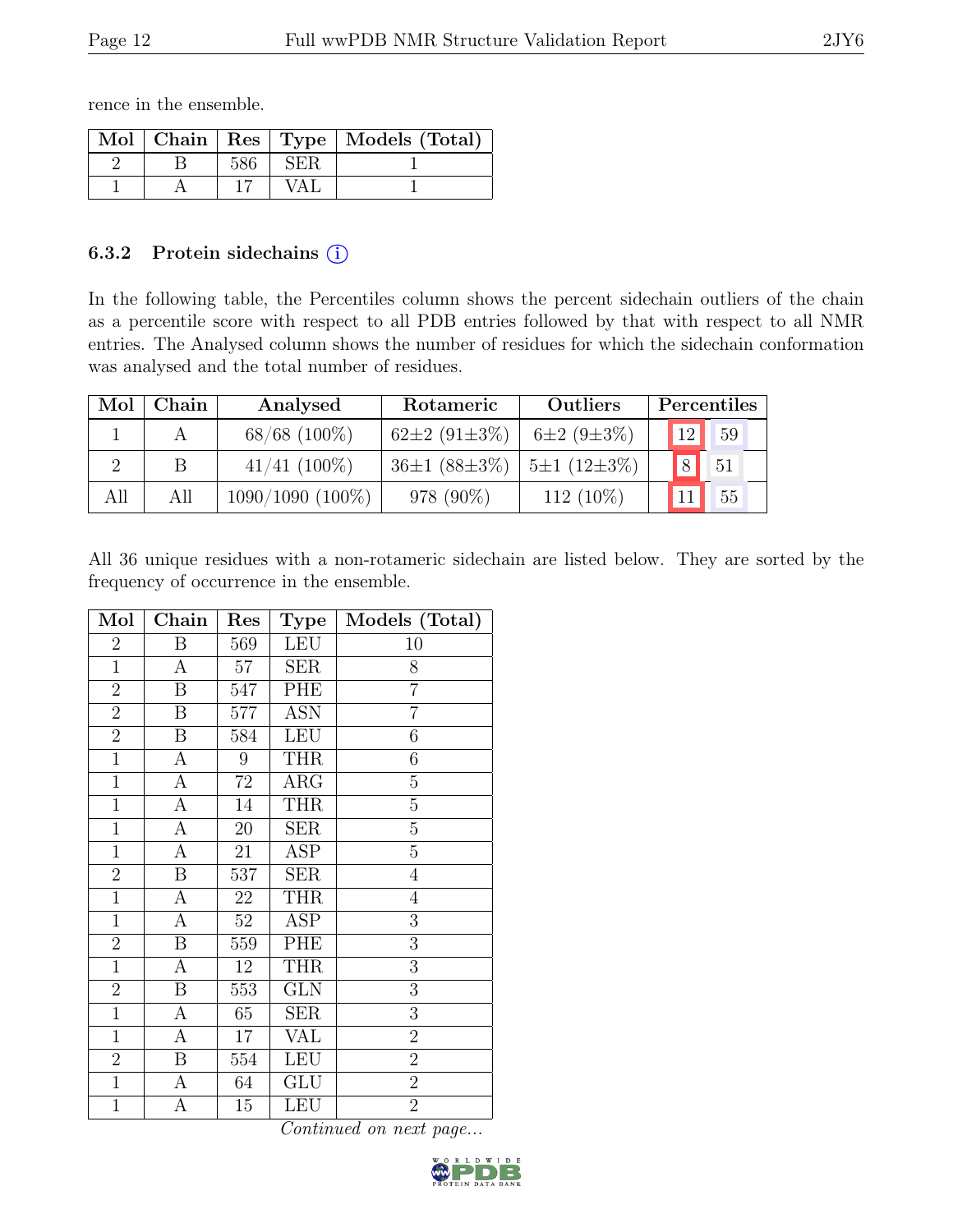rence in the ensemble.

|  |     |       | Mol   Chain   Res   Type   Models (Total) |
|--|-----|-------|-------------------------------------------|
|  | 586 | SER.  |                                           |
|  |     | ′ A L |                                           |

#### 6.3.2 Protein sidechains  $(i)$

In the following table, the Percentiles column shows the percent sidechain outliers of the chain as a percentile score with respect to all PDB entries followed by that with respect to all NMR entries. The Analysed column shows the number of residues for which the sidechain conformation was analysed and the total number of residues.

| Mol | Chain | Analysed           | Rotameric                  | <b>Outliers</b>   | Percentiles             |
|-----|-------|--------------------|----------------------------|-------------------|-------------------------|
|     |       | $68/68$ (100%)     | 62 $\pm 2$ (91 $\pm 3\%$ ) | $6\pm2(9\pm3\%)$  | 12<br>59                |
|     |       | $41/41$ (100\%)    | $36\pm1(88\pm3\%)$         | $5\pm1(12\pm3\%)$ | $\lvert 8 \rvert$<br>51 |
| All | All   | $1090/1090(100\%)$ | 978 (90%)                  | $112(10\%)$       | 11 <sup>1</sup><br>55   |

All 36 unique residues with a non-rotameric sidechain are listed below. They are sorted by the frequency of occurrence in the ensemble.

| Mol            | Chain            | Res    | <b>Type</b>             | Models (Total)   |
|----------------|------------------|--------|-------------------------|------------------|
| $\overline{2}$ | $\boldsymbol{B}$ | 569    | <b>LEU</b>              | 10               |
| $\mathbf{1}$   | A                | $57\,$ | SER                     | 8                |
| $\overline{2}$ | $\boldsymbol{B}$ | 547    | PHE                     | $\overline{7}$   |
| $\overline{2}$ | $\boldsymbol{B}$ | 577    | <b>ASN</b>              | $\overline{7}$   |
| $\overline{2}$ | $\boldsymbol{B}$ | 584    | <b>LEU</b>              | $\boldsymbol{6}$ |
| $\mathbf{1}$   | $\boldsymbol{A}$ | 9      | THR                     | $\boldsymbol{6}$ |
| $\mathbf{1}$   | $\boldsymbol{A}$ | $72\,$ | <b>ARG</b>              | $\overline{5}$   |
| $\overline{1}$ | $\mathbf{A}$     | 14     | <b>THR</b>              | $\overline{5}$   |
| $\mathbf{1}$   | $\mathbf{A}$     | 20     | <b>SER</b>              | $\overline{5}$   |
| $\mathbf{1}$   | А                | 21     | <b>ASP</b>              | $\overline{5}$   |
| $\overline{2}$ | $\, {\bf B}$     | 537    | <b>SER</b>              | $\overline{4}$   |
| $\overline{1}$ | $\overline{A}$   | 22     | <b>THR</b>              | $\overline{4}$   |
| $\mathbf{1}$   | $\boldsymbol{A}$ | 52     | <b>ASP</b>              | 3                |
| $\overline{2}$ | $\, {\bf B}$     | 559    | PHE                     | 3                |
| $\mathbf{1}$   | A                | 12     | <b>THR</b>              | 3                |
| $\overline{2}$ | $\boldsymbol{B}$ | 553    | $\overline{\text{GLN}}$ | $\overline{3}$   |
| $\mathbf 1$    | $\boldsymbol{A}$ | 65     | $\overline{\text{SER}}$ | 3                |
| $\mathbf{1}$   | $\mathbf{A}$     | 17     | VAL                     | $\overline{2}$   |
| $\overline{2}$ | $\boldsymbol{B}$ | 554    | <b>LEU</b>              | $\overline{2}$   |
| $\mathbf{1}$   | $\boldsymbol{A}$ | 64     | GLU                     | $\overline{2}$   |
| $\overline{1}$ | $\overline{A}$   | 15     | <b>LEU</b>              | $\overline{2}$   |

Continued on next page...

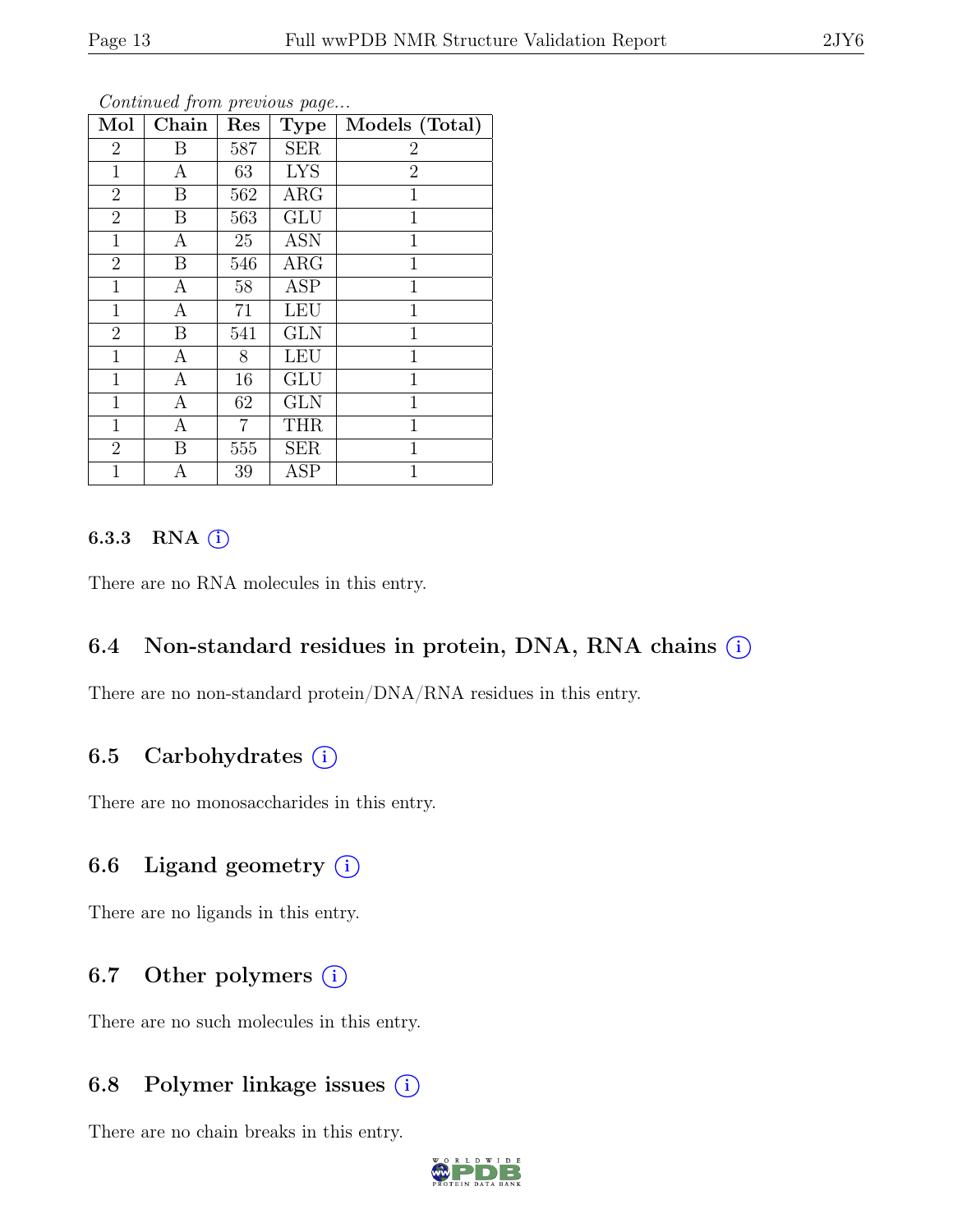| Mol            | Chain            | Res | Type       | Models (Total) |
|----------------|------------------|-----|------------|----------------|
| $\overline{2}$ | B                | 587 | <b>SER</b> | $\overline{2}$ |
| $\mathbf{1}$   | А                | 63  | <b>LYS</b> | $\overline{2}$ |
| $\overline{2}$ | $\boldsymbol{B}$ | 562 | ARG        | $\mathbf{1}$   |
| $\overline{2}$ | B                | 563 | <b>GLU</b> | $\mathbf{1}$   |
| $\mathbf{1}$   | A                | 25  | <b>ASN</b> | $\mathbf{1}$   |
| $\overline{2}$ | B                | 546 | ARG        | $\mathbf{1}$   |
| $\mathbf{1}$   | A                | 58  | <b>ASP</b> | 1              |
| $\mathbf{1}$   | $\boldsymbol{A}$ | 71  | <b>LEU</b> | $\mathbf{1}$   |
| $\overline{2}$ | B                | 541 | <b>GLN</b> | $\mathbf{1}$   |
| $\mathbf 1$    | A                | 8   | <b>LEU</b> | $\mathbf{1}$   |
| $\mathbf{1}$   | $\mathbf{A}$     | 16  | <b>GLU</b> | $\mathbf{1}$   |
| $\mathbf{1}$   | A                | 62  | <b>GLN</b> | 1              |
| $\mathbf{1}$   | $\mathbf{A}$     | 7   | <b>THR</b> | $\mathbf{1}$   |
| $\overline{2}$ | B                | 555 | <b>SER</b> | $\mathbf{1}$   |
| 1              | А                | 39  | <b>ASP</b> | 1              |

Continued from previous page...

#### 6.3.3 RNA  $(i)$

There are no RNA molecules in this entry.

#### 6.4 Non-standard residues in protein, DNA, RNA chains  $(i)$

There are no non-standard protein/DNA/RNA residues in this entry.

### 6.5 Carbohydrates  $(i)$

There are no monosaccharides in this entry.

### 6.6 Ligand geometry  $(i)$

There are no ligands in this entry.

### 6.7 Other polymers  $(i)$

There are no such molecules in this entry.

### 6.8 Polymer linkage issues  $(i)$

There are no chain breaks in this entry.